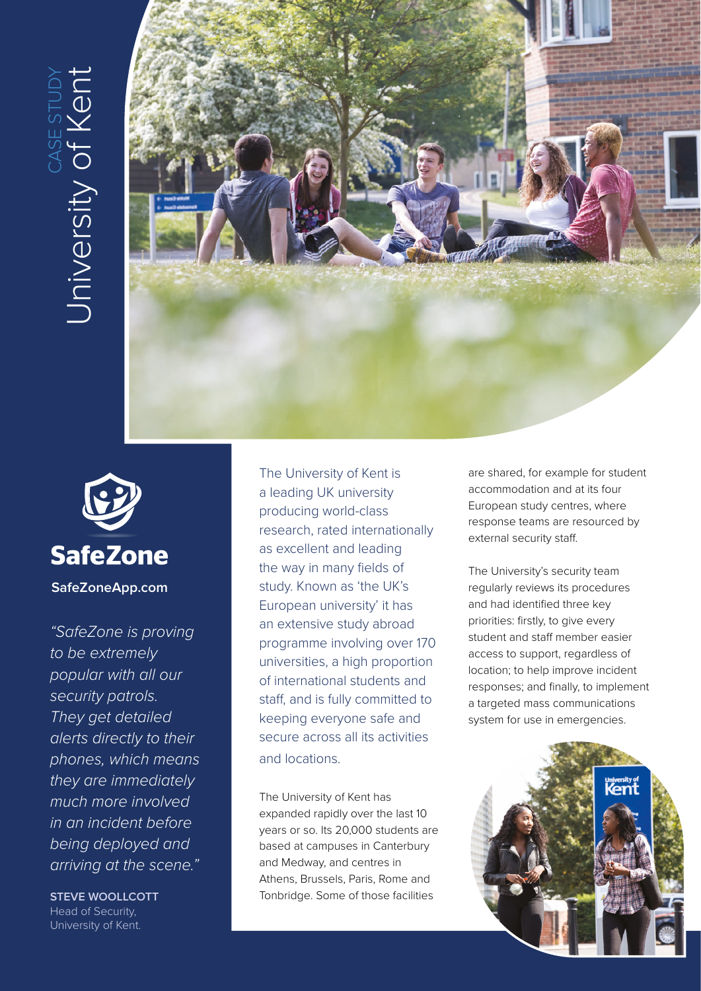# University of Kent CASE STUDY **University of Ken**





**SafeZoneApp.com**

*"SafeZone is proving to be extremely popular with all our security patrols. They get detailed alerts directly to their phones, which means they are immediately much more involved in an incident before being deployed and arriving at the scene."*

**STEVE WOOLLCOTT** Head of Security, University of Kent.

The University of Kent is a leading UK university producing world-class research, rated internationally as excellent and leading the way in many fields of study. Known as 'the UK's European university' it has an extensive study abroad programme involving over 170 universities, a high proportion of international students and staff, and is fully committed to keeping everyone safe and secure across all its activities and locations.

The University of Kent has expanded rapidly over the last 10 years or so. Its 20,000 students are based at campuses in Canterbury and Medway, and centres in Athens, Brussels, Paris, Rome and Tonbridge. Some of those facilities

are shared, for example for student accommodation and at its four European study centres, where response teams are resourced by external security staff.

The University's security team regularly reviews its procedures and had identified three key priorities: firstly, to give every student and staff member easier access to support, regardless of location; to help improve incident responses; and finally, to implement a targeted mass communications system for use in emergencies.